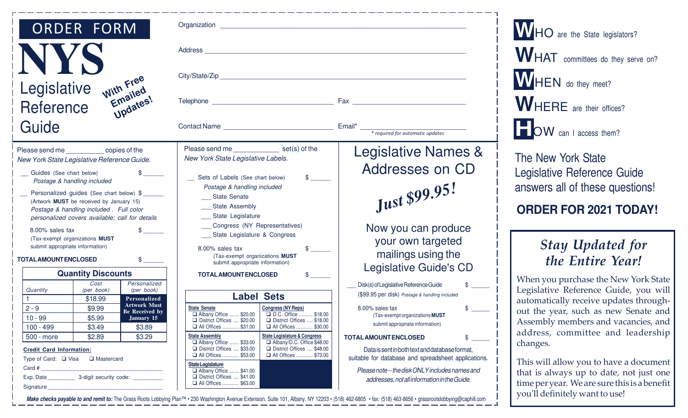| <b>ORDER FORM</b>                                                                                                                                                                                                                                                                                                                                                                                                                                                                                                                                                                                                                                                                                                                                                                                                                                                                                                                                                                                                                                                                                                                               |                                                                                                                                                                                                                                                                                                                                                                                                                                                                                                                                                                                                                                                                                                                                                                                                                                                                                                                                                                                                                                                           |                                                                                                                                                                                                                                                                                                                                                                                                                                                                                                                                                                                                                                |
|-------------------------------------------------------------------------------------------------------------------------------------------------------------------------------------------------------------------------------------------------------------------------------------------------------------------------------------------------------------------------------------------------------------------------------------------------------------------------------------------------------------------------------------------------------------------------------------------------------------------------------------------------------------------------------------------------------------------------------------------------------------------------------------------------------------------------------------------------------------------------------------------------------------------------------------------------------------------------------------------------------------------------------------------------------------------------------------------------------------------------------------------------|-----------------------------------------------------------------------------------------------------------------------------------------------------------------------------------------------------------------------------------------------------------------------------------------------------------------------------------------------------------------------------------------------------------------------------------------------------------------------------------------------------------------------------------------------------------------------------------------------------------------------------------------------------------------------------------------------------------------------------------------------------------------------------------------------------------------------------------------------------------------------------------------------------------------------------------------------------------------------------------------------------------------------------------------------------------|--------------------------------------------------------------------------------------------------------------------------------------------------------------------------------------------------------------------------------------------------------------------------------------------------------------------------------------------------------------------------------------------------------------------------------------------------------------------------------------------------------------------------------------------------------------------------------------------------------------------------------|
|                                                                                                                                                                                                                                                                                                                                                                                                                                                                                                                                                                                                                                                                                                                                                                                                                                                                                                                                                                                                                                                                                                                                                 |                                                                                                                                                                                                                                                                                                                                                                                                                                                                                                                                                                                                                                                                                                                                                                                                                                                                                                                                                                                                                                                           |                                                                                                                                                                                                                                                                                                                                                                                                                                                                                                                                                                                                                                |
|                                                                                                                                                                                                                                                                                                                                                                                                                                                                                                                                                                                                                                                                                                                                                                                                                                                                                                                                                                                                                                                                                                                                                 |                                                                                                                                                                                                                                                                                                                                                                                                                                                                                                                                                                                                                                                                                                                                                                                                                                                                                                                                                                                                                                                           |                                                                                                                                                                                                                                                                                                                                                                                                                                                                                                                                                                                                                                |
| With Free<br>Emailed<br>Updates!<br>Legislative<br>Reference                                                                                                                                                                                                                                                                                                                                                                                                                                                                                                                                                                                                                                                                                                                                                                                                                                                                                                                                                                                                                                                                                    |                                                                                                                                                                                                                                                                                                                                                                                                                                                                                                                                                                                                                                                                                                                                                                                                                                                                                                                                                                                                                                                           |                                                                                                                                                                                                                                                                                                                                                                                                                                                                                                                                                                                                                                |
| Guide                                                                                                                                                                                                                                                                                                                                                                                                                                                                                                                                                                                                                                                                                                                                                                                                                                                                                                                                                                                                                                                                                                                                           |                                                                                                                                                                                                                                                                                                                                                                                                                                                                                                                                                                                                                                                                                                                                                                                                                                                                                                                                                                                                                                                           |                                                                                                                                                                                                                                                                                                                                                                                                                                                                                                                                                                                                                                |
| Please send me ____________ copies of the<br>New York State Legislative Reference Guide.<br>Guides (See chart below)<br>Postage & handling included<br>Personalized guides (See chart below) \$<br>(Artwork MUST be received by January 15)<br>Postage & handling included . Full color<br>personalized covers available; call for details<br>8.00% sales tax<br>$\frac{1}{2}$<br>(Tax-exempt organizations MUST<br>submit appropriate information)<br><b>TOTAL AMOUNT ENCLOSED</b><br>$\frac{1}{2}$<br><b>Quantity Discounts</b><br>Cost<br>Personalized<br>Quantity<br>(per book)<br>(per book)<br>\$18.99<br>Personalized<br><b>Artwork Must</b><br>$2 - 9$<br>\$9.99<br><b>Be Received by</b><br>$10 - 99$<br>\$5.99<br>January 15<br>$100 - 499$<br>\$3.49<br>\$3.89<br>\$2.89<br>\$3.29<br>500 - more<br><b>Credit Card Information:</b><br>Type of Card: □ Visa □ Mastercard<br>Card # $\sqrt{2\pi i}$<br>Signature experience and the state of the state of the state of the state of the state of the state of the state of the state of the state of the state of the state of the state of the state of the state of the state of th | Please send me set(s) of the<br>New York State Legislative Labels.<br>$\frac{1}{2}$<br>_ Sets of Labels (See chart below)<br>Postage & handling included<br>__ State Senate<br>__ State Assembly<br>__ State Legislature<br>___ Congress (NY Representatives)<br>__ State Legislature & Congress<br>8.00% sales tax<br>$\frac{1}{2}$<br>(Tax-exempt organizations MUST<br>submit appropriate information)<br>$\frac{1}{2}$<br><b>TOTAL AMOUNT ENCLOSED</b><br><b>Label Sets</b><br><b>State Senate</b><br><b>Congress (NY Reps)</b><br>D.C. Office  \$18.00<br>Albany Office  \$20.00<br>District Offices  \$20.00<br>District Offices  \$18.00<br>□ All Offices  \$31.00<br>□ All Offices  \$30.00<br><b>State Legislature &amp; Congress</b><br><b>State Assembly</b><br>Albany Office  \$33.00<br>Albany/D.C. Office \$48.00<br>District Offices  \$33.00<br>District Offices  \$48.00<br>□ All Offices  \$73.00<br>□ All Offices  \$53.00<br><b>StateLegislature</b><br>Albany Office  \$41.00<br>District Offices  \$41.00<br>□ All Offices  \$63.00 | <b>Legislative Names &amp;</b><br>Addresses on CD<br>Just \$99.95!<br>Now you can produce<br>your own targeted<br>mailings using the<br><b>Legislative Guide's CD</b><br>Disk(s) of Legislative Reference Guide<br>\$<br>(\$99.95 per disk) Postage & handling included<br>8.00% sales tax<br>\$<br>(Tax-exempt organizations <b>MUST</b><br>submit appropriate information)<br><b>TOTAL AMOUNT ENCLOSED</b><br>\$<br>Data is sent in both text and database format,<br>suitable for database and spreadsheet applications.<br>Please note -- the disk ONLY includes names and<br>addresses, not all information in the Guide. |

**W**HO are the State legislators? WHAT committees do they serve on? **W**HEN do they meet? WHERE are their offices? **H** OW can I access them?

The New York State Legislative Reference Guide answers all of these questions!

### **ORDER FOR 2021 TODAY!**

# Stay Updated for the Entire Year!

When you purchase the New York State Legislative Reference Guide, you will automatically receive updates throughout the year, such as new Senate and Assembly members and vacancies, and address, committee and leadership changes.

This will allow you to have a document that is always up to date, not just one time per year. We are sure this is a benefit you'll definitely want to use!